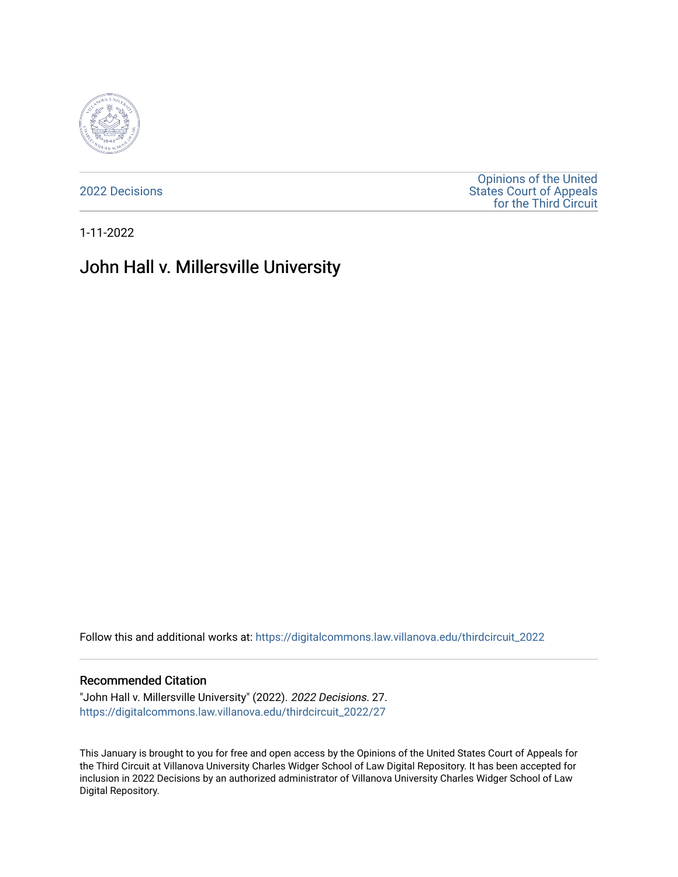

[2022 Decisions](https://digitalcommons.law.villanova.edu/thirdcircuit_2022)

[Opinions of the United](https://digitalcommons.law.villanova.edu/thirdcircuit)  [States Court of Appeals](https://digitalcommons.law.villanova.edu/thirdcircuit)  [for the Third Circuit](https://digitalcommons.law.villanova.edu/thirdcircuit) 

1-11-2022

# John Hall v. Millersville University

Follow this and additional works at: [https://digitalcommons.law.villanova.edu/thirdcircuit\\_2022](https://digitalcommons.law.villanova.edu/thirdcircuit_2022?utm_source=digitalcommons.law.villanova.edu%2Fthirdcircuit_2022%2F27&utm_medium=PDF&utm_campaign=PDFCoverPages) 

#### Recommended Citation

"John Hall v. Millersville University" (2022). 2022 Decisions. 27. [https://digitalcommons.law.villanova.edu/thirdcircuit\\_2022/27](https://digitalcommons.law.villanova.edu/thirdcircuit_2022/27?utm_source=digitalcommons.law.villanova.edu%2Fthirdcircuit_2022%2F27&utm_medium=PDF&utm_campaign=PDFCoverPages)

This January is brought to you for free and open access by the Opinions of the United States Court of Appeals for the Third Circuit at Villanova University Charles Widger School of Law Digital Repository. It has been accepted for inclusion in 2022 Decisions by an authorized administrator of Villanova University Charles Widger School of Law Digital Repository.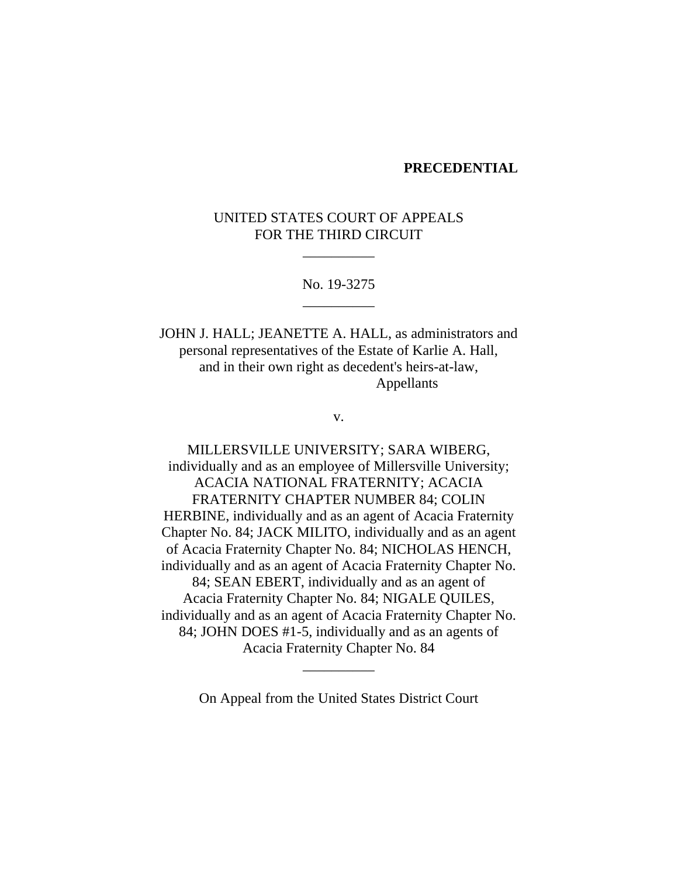#### **PRECEDENTIAL**

# UNITED STATES COURT OF APPEALS FOR THE THIRD CIRCUIT

\_\_\_\_\_\_\_\_\_\_

## No. 19-3275 \_\_\_\_\_\_\_\_\_\_

JOHN J. HALL; JEANETTE A. HALL, as administrators and personal representatives of the Estate of Karlie A. Hall, and in their own right as decedent's heirs-at-law, Appellants

v.

MILLERSVILLE UNIVERSITY; SARA WIBERG, individually and as an employee of Millersville University; ACACIA NATIONAL FRATERNITY; ACACIA FRATERNITY CHAPTER NUMBER 84; COLIN HERBINE, individually and as an agent of Acacia Fraternity Chapter No. 84; JACK MILITO, individually and as an agent of Acacia Fraternity Chapter No. 84; NICHOLAS HENCH, individually and as an agent of Acacia Fraternity Chapter No. 84; SEAN EBERT, individually and as an agent of Acacia Fraternity Chapter No. 84; NIGALE QUILES, individually and as an agent of Acacia Fraternity Chapter No. 84; JOHN DOES #1-5, individually and as an agents of Acacia Fraternity Chapter No. 84

On Appeal from the United States District Court

\_\_\_\_\_\_\_\_\_\_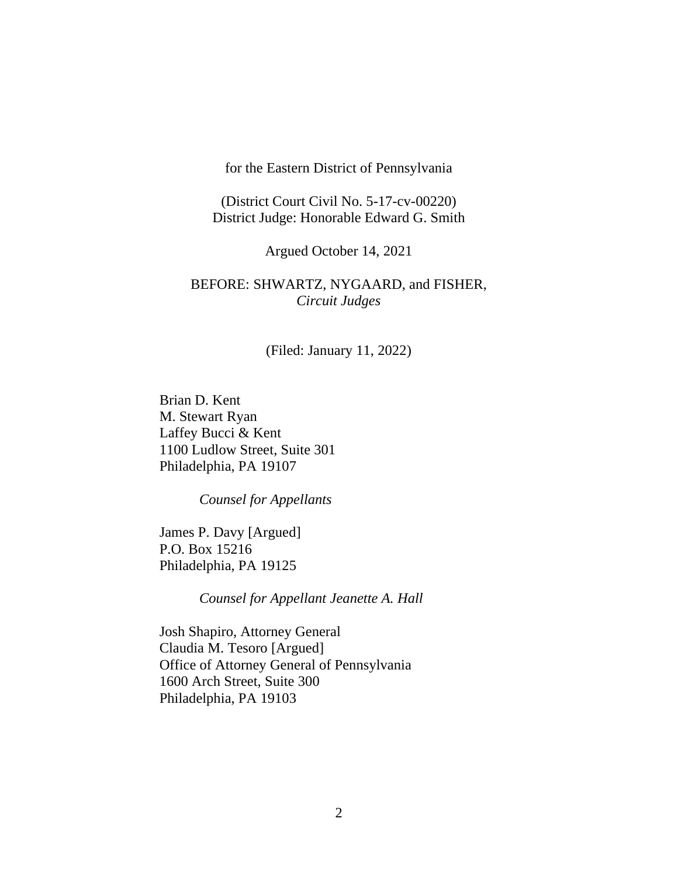for the Eastern District of Pennsylvania

(District Court Civil No. 5-17-cv-00220) District Judge: Honorable Edward G. Smith

Argued October 14, 2021

# BEFORE: SHWARTZ, NYGAARD, and FISHER, *Circuit Judges*

(Filed: January 11, 2022)

Brian D. Kent M. Stewart Ryan Laffey Bucci & Kent 1100 Ludlow Street, Suite 301 Philadelphia, PA 19107

*Counsel for Appellants*

James P. Davy [Argued] P.O. Box 15216 Philadelphia, PA 19125

*Counsel for Appellant Jeanette A. Hall*

Josh Shapiro, Attorney General Claudia M. Tesoro [Argued] Office of Attorney General of Pennsylvania 1600 Arch Street, Suite 300 Philadelphia, PA 19103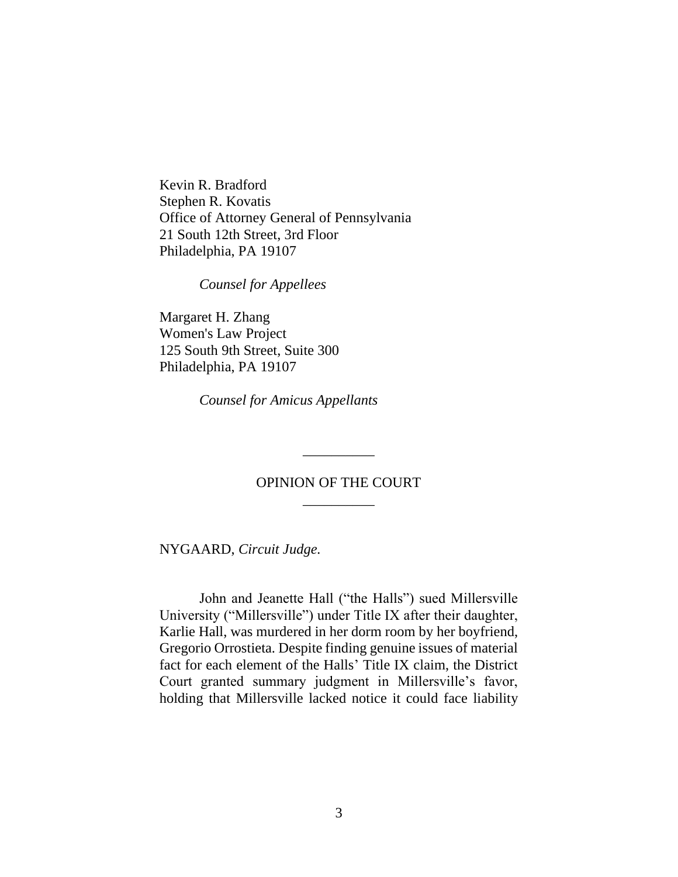Kevin R. Bradford Stephen R. Kovatis Office of Attorney General of Pennsylvania 21 South 12th Street, 3rd Floor Philadelphia, PA 19107

*Counsel for Appellees*

Margaret H. Zhang Women's Law Project 125 South 9th Street, Suite 300 Philadelphia, PA 19107

*Counsel for Amicus Appellants*

# OPINION OF THE COURT \_\_\_\_\_\_\_\_\_\_

\_\_\_\_\_\_\_\_\_\_

NYGAARD, *Circuit Judge.*

John and Jeanette Hall ("the Halls") sued Millersville University ("Millersville") under Title IX after their daughter, Karlie Hall, was murdered in her dorm room by her boyfriend, Gregorio Orrostieta. Despite finding genuine issues of material fact for each element of the Halls' Title IX claim, the District Court granted summary judgment in Millersville's favor, holding that Millersville lacked notice it could face liability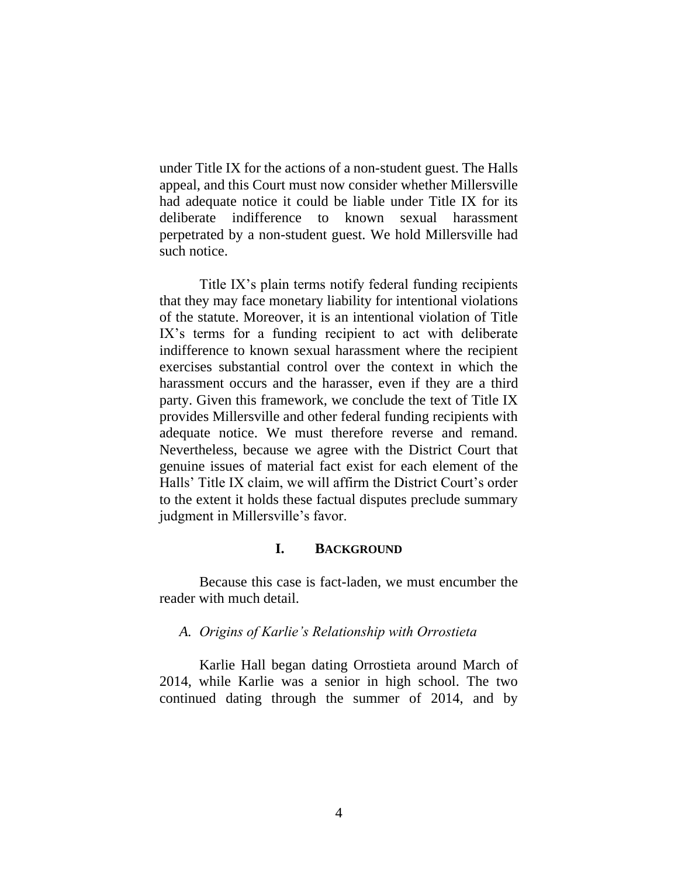under Title IX for the actions of a non-student guest. The Halls appeal, and this Court must now consider whether Millersville had adequate notice it could be liable under Title IX for its deliberate indifference to known sexual harassment perpetrated by a non-student guest. We hold Millersville had such notice.

Title IX's plain terms notify federal funding recipients that they may face monetary liability for intentional violations of the statute. Moreover, it is an intentional violation of Title IX's terms for a funding recipient to act with deliberate indifference to known sexual harassment where the recipient exercises substantial control over the context in which the harassment occurs and the harasser, even if they are a third party. Given this framework, we conclude the text of Title IX provides Millersville and other federal funding recipients with adequate notice. We must therefore reverse and remand. Nevertheless, because we agree with the District Court that genuine issues of material fact exist for each element of the Halls' Title IX claim, we will affirm the District Court's order to the extent it holds these factual disputes preclude summary judgment in Millersville's favor.

# **I. BACKGROUND**

Because this case is fact-laden, we must encumber the reader with much detail.

#### *A. Origins of Karlie's Relationship with Orrostieta*

Karlie Hall began dating Orrostieta around March of 2014, while Karlie was a senior in high school. The two continued dating through the summer of 2014, and by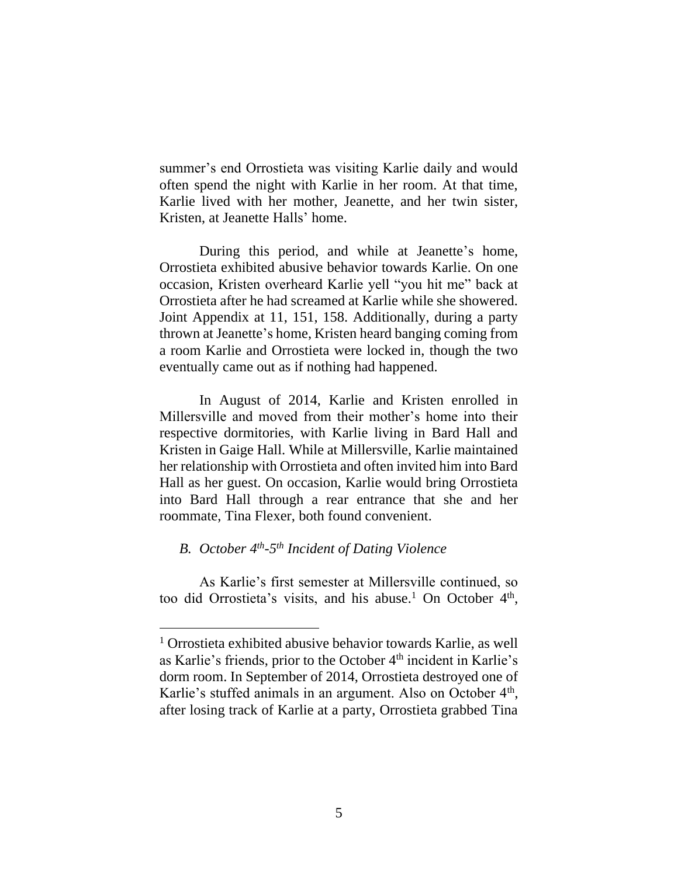summer's end Orrostieta was visiting Karlie daily and would often spend the night with Karlie in her room. At that time, Karlie lived with her mother, Jeanette, and her twin sister, Kristen, at Jeanette Halls' home.

During this period, and while at Jeanette's home, Orrostieta exhibited abusive behavior towards Karlie. On one occasion, Kristen overheard Karlie yell "you hit me" back at Orrostieta after he had screamed at Karlie while she showered. Joint Appendix at 11, 151, 158. Additionally, during a party thrown at Jeanette's home, Kristen heard banging coming from a room Karlie and Orrostieta were locked in, though the two eventually came out as if nothing had happened.

In August of 2014, Karlie and Kristen enrolled in Millersville and moved from their mother's home into their respective dormitories, with Karlie living in Bard Hall and Kristen in Gaige Hall. While at Millersville, Karlie maintained her relationship with Orrostieta and often invited him into Bard Hall as her guest. On occasion, Karlie would bring Orrostieta into Bard Hall through a rear entrance that she and her roommate, Tina Flexer, both found convenient.

# *B. October 4th -5 th Incident of Dating Violence*

As Karlie's first semester at Millersville continued, so too did Orrostieta's visits, and his abuse.<sup>1</sup> On October  $4<sup>th</sup>$ ,

<sup>1</sup> Orrostieta exhibited abusive behavior towards Karlie, as well as Karlie's friends, prior to the October 4<sup>th</sup> incident in Karlie's dorm room. In September of 2014, Orrostieta destroyed one of Karlie's stuffed animals in an argument. Also on October 4<sup>th</sup>, after losing track of Karlie at a party, Orrostieta grabbed Tina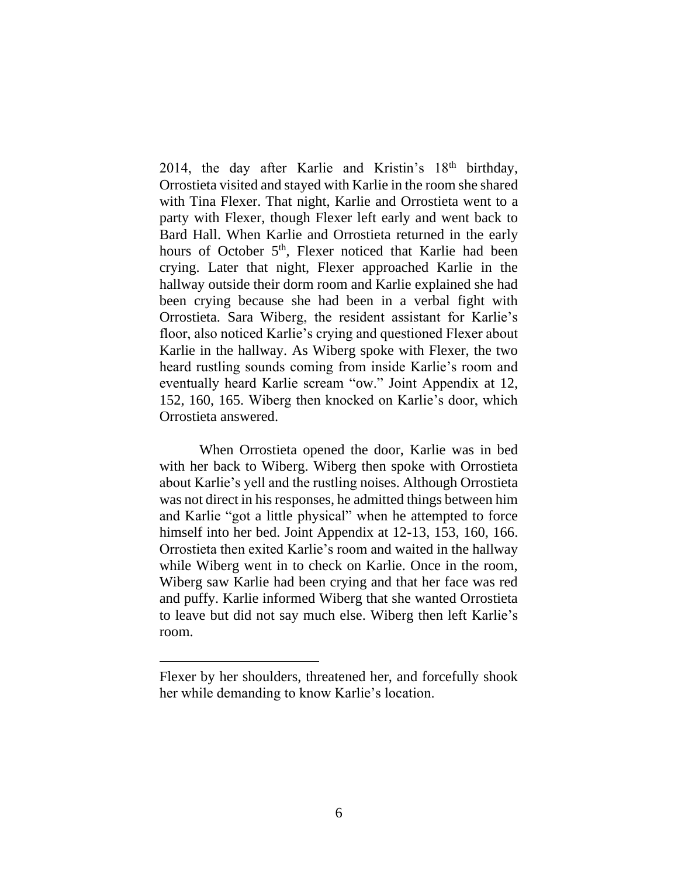2014, the day after Karlie and Kristin's  $18<sup>th</sup>$  birthday, Orrostieta visited and stayed with Karlie in the room she shared with Tina Flexer. That night, Karlie and Orrostieta went to a party with Flexer, though Flexer left early and went back to Bard Hall. When Karlie and Orrostieta returned in the early hours of October 5<sup>th</sup>, Flexer noticed that Karlie had been crying. Later that night, Flexer approached Karlie in the hallway outside their dorm room and Karlie explained she had been crying because she had been in a verbal fight with Orrostieta. Sara Wiberg, the resident assistant for Karlie's floor, also noticed Karlie's crying and questioned Flexer about Karlie in the hallway. As Wiberg spoke with Flexer, the two heard rustling sounds coming from inside Karlie's room and eventually heard Karlie scream "ow." Joint Appendix at 12, 152, 160, 165. Wiberg then knocked on Karlie's door, which Orrostieta answered.

When Orrostieta opened the door, Karlie was in bed with her back to Wiberg. Wiberg then spoke with Orrostieta about Karlie's yell and the rustling noises. Although Orrostieta was not direct in his responses, he admitted things between him and Karlie "got a little physical" when he attempted to force himself into her bed. Joint Appendix at 12-13, 153, 160, 166. Orrostieta then exited Karlie's room and waited in the hallway while Wiberg went in to check on Karlie. Once in the room, Wiberg saw Karlie had been crying and that her face was red and puffy. Karlie informed Wiberg that she wanted Orrostieta to leave but did not say much else. Wiberg then left Karlie's room.

Flexer by her shoulders, threatened her, and forcefully shook her while demanding to know Karlie's location.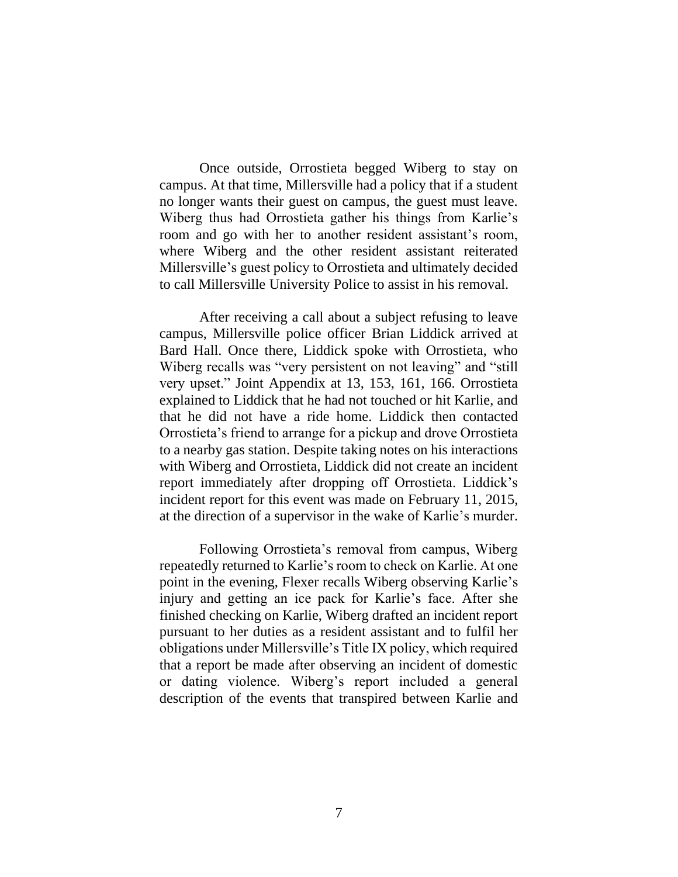Once outside, Orrostieta begged Wiberg to stay on campus. At that time, Millersville had a policy that if a student no longer wants their guest on campus, the guest must leave. Wiberg thus had Orrostieta gather his things from Karlie's room and go with her to another resident assistant's room, where Wiberg and the other resident assistant reiterated Millersville's guest policy to Orrostieta and ultimately decided to call Millersville University Police to assist in his removal.

After receiving a call about a subject refusing to leave campus, Millersville police officer Brian Liddick arrived at Bard Hall. Once there, Liddick spoke with Orrostieta, who Wiberg recalls was "very persistent on not leaving" and "still very upset." Joint Appendix at 13, 153, 161, 166. Orrostieta explained to Liddick that he had not touched or hit Karlie, and that he did not have a ride home. Liddick then contacted Orrostieta's friend to arrange for a pickup and drove Orrostieta to a nearby gas station. Despite taking notes on his interactions with Wiberg and Orrostieta, Liddick did not create an incident report immediately after dropping off Orrostieta. Liddick's incident report for this event was made on February 11, 2015, at the direction of a supervisor in the wake of Karlie's murder.

Following Orrostieta's removal from campus, Wiberg repeatedly returned to Karlie's room to check on Karlie. At one point in the evening, Flexer recalls Wiberg observing Karlie's injury and getting an ice pack for Karlie's face. After she finished checking on Karlie, Wiberg drafted an incident report pursuant to her duties as a resident assistant and to fulfil her obligations under Millersville's Title IX policy, which required that a report be made after observing an incident of domestic or dating violence. Wiberg's report included a general description of the events that transpired between Karlie and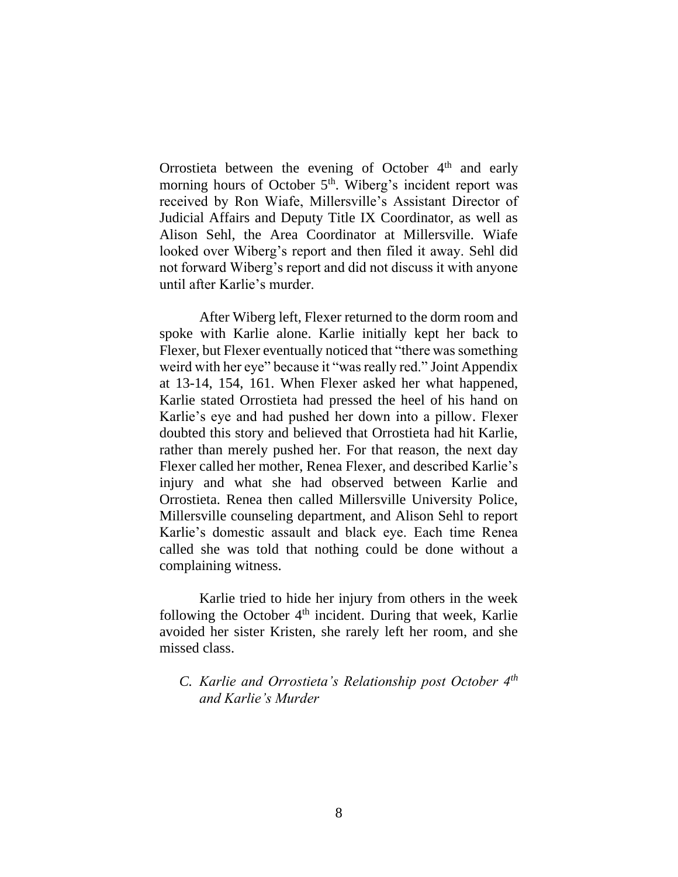Orrostieta between the evening of October  $4<sup>th</sup>$  and early morning hours of October 5<sup>th</sup>. Wiberg's incident report was received by Ron Wiafe, Millersville's Assistant Director of Judicial Affairs and Deputy Title IX Coordinator, as well as Alison Sehl, the Area Coordinator at Millersville. Wiafe looked over Wiberg's report and then filed it away. Sehl did not forward Wiberg's report and did not discuss it with anyone until after Karlie's murder.

After Wiberg left, Flexer returned to the dorm room and spoke with Karlie alone. Karlie initially kept her back to Flexer, but Flexer eventually noticed that "there was something weird with her eye" because it "was really red." Joint Appendix at 13-14, 154, 161. When Flexer asked her what happened, Karlie stated Orrostieta had pressed the heel of his hand on Karlie's eye and had pushed her down into a pillow. Flexer doubted this story and believed that Orrostieta had hit Karlie, rather than merely pushed her. For that reason, the next day Flexer called her mother, Renea Flexer, and described Karlie's injury and what she had observed between Karlie and Orrostieta. Renea then called Millersville University Police, Millersville counseling department, and Alison Sehl to report Karlie's domestic assault and black eye. Each time Renea called she was told that nothing could be done without a complaining witness.

Karlie tried to hide her injury from others in the week following the October  $4<sup>th</sup>$  incident. During that week, Karlie avoided her sister Kristen, she rarely left her room, and she missed class.

*C. Karlie and Orrostieta's Relationship post October 4th and Karlie's Murder*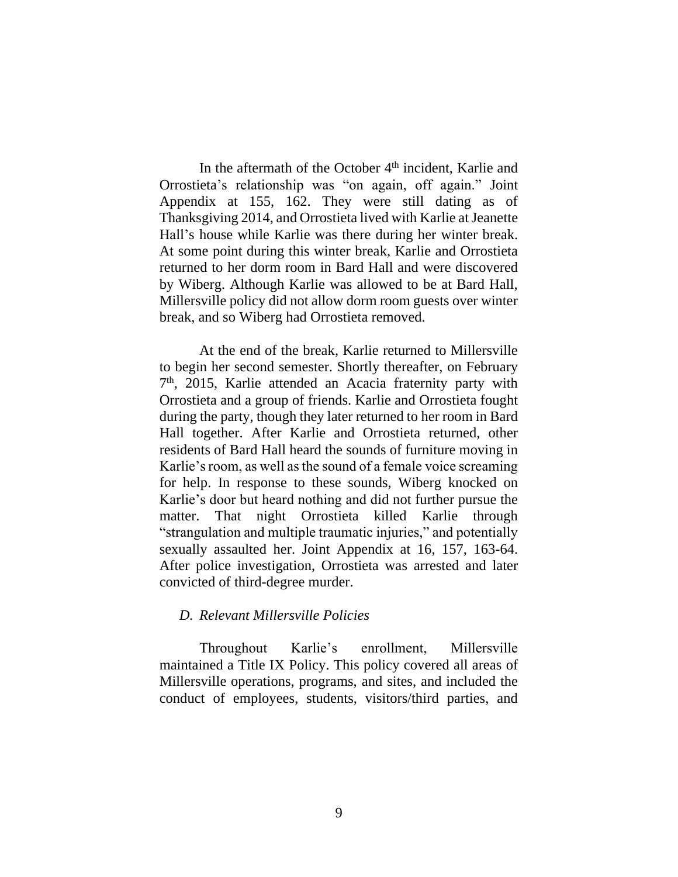In the aftermath of the October  $4<sup>th</sup>$  incident, Karlie and Orrostieta's relationship was "on again, off again." Joint Appendix at 155, 162. They were still dating as of Thanksgiving 2014, and Orrostieta lived with Karlie at Jeanette Hall's house while Karlie was there during her winter break. At some point during this winter break, Karlie and Orrostieta returned to her dorm room in Bard Hall and were discovered by Wiberg. Although Karlie was allowed to be at Bard Hall, Millersville policy did not allow dorm room guests over winter break, and so Wiberg had Orrostieta removed.

At the end of the break, Karlie returned to Millersville to begin her second semester. Shortly thereafter, on February 7 th, 2015, Karlie attended an Acacia fraternity party with Orrostieta and a group of friends. Karlie and Orrostieta fought during the party, though they later returned to her room in Bard Hall together. After Karlie and Orrostieta returned, other residents of Bard Hall heard the sounds of furniture moving in Karlie's room, as well as the sound of a female voice screaming for help. In response to these sounds, Wiberg knocked on Karlie's door but heard nothing and did not further pursue the matter. That night Orrostieta killed Karlie through "strangulation and multiple traumatic injuries," and potentially sexually assaulted her. Joint Appendix at 16, 157, 163-64. After police investigation, Orrostieta was arrested and later convicted of third-degree murder.

### *D. Relevant Millersville Policies*

Throughout Karlie's enrollment, Millersville maintained a Title IX Policy. This policy covered all areas of Millersville operations, programs, and sites, and included the conduct of employees, students, visitors/third parties, and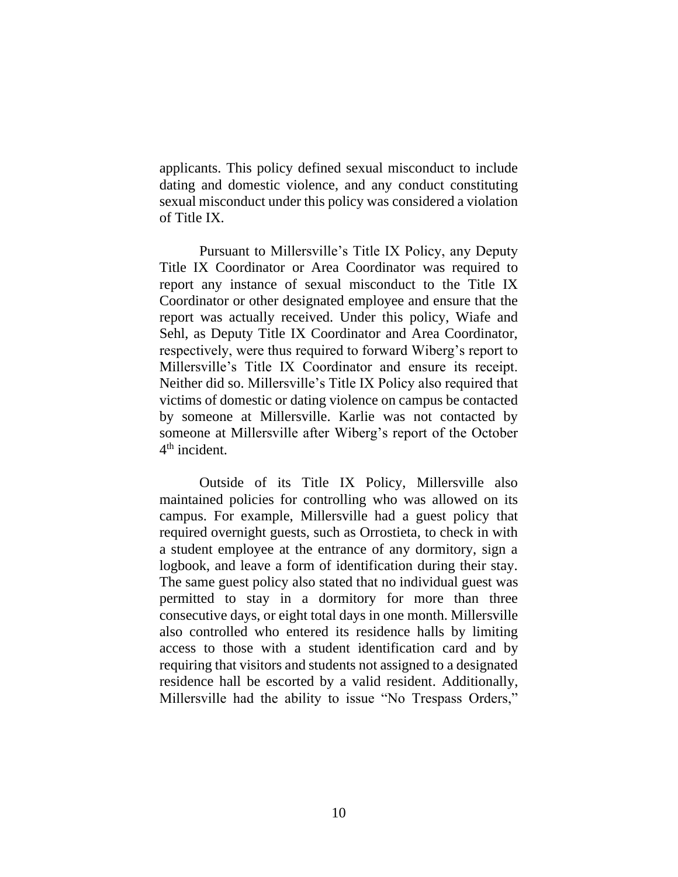applicants. This policy defined sexual misconduct to include dating and domestic violence, and any conduct constituting sexual misconduct under this policy was considered a violation of Title IX.

Pursuant to Millersville's Title IX Policy, any Deputy Title IX Coordinator or Area Coordinator was required to report any instance of sexual misconduct to the Title IX Coordinator or other designated employee and ensure that the report was actually received. Under this policy, Wiafe and Sehl, as Deputy Title IX Coordinator and Area Coordinator, respectively, were thus required to forward Wiberg's report to Millersville's Title IX Coordinator and ensure its receipt. Neither did so. Millersville's Title IX Policy also required that victims of domestic or dating violence on campus be contacted by someone at Millersville. Karlie was not contacted by someone at Millersville after Wiberg's report of the October 4 th incident.

Outside of its Title IX Policy, Millersville also maintained policies for controlling who was allowed on its campus. For example, Millersville had a guest policy that required overnight guests, such as Orrostieta, to check in with a student employee at the entrance of any dormitory, sign a logbook, and leave a form of identification during their stay. The same guest policy also stated that no individual guest was permitted to stay in a dormitory for more than three consecutive days, or eight total days in one month. Millersville also controlled who entered its residence halls by limiting access to those with a student identification card and by requiring that visitors and students not assigned to a designated residence hall be escorted by a valid resident. Additionally, Millersville had the ability to issue "No Trespass Orders,"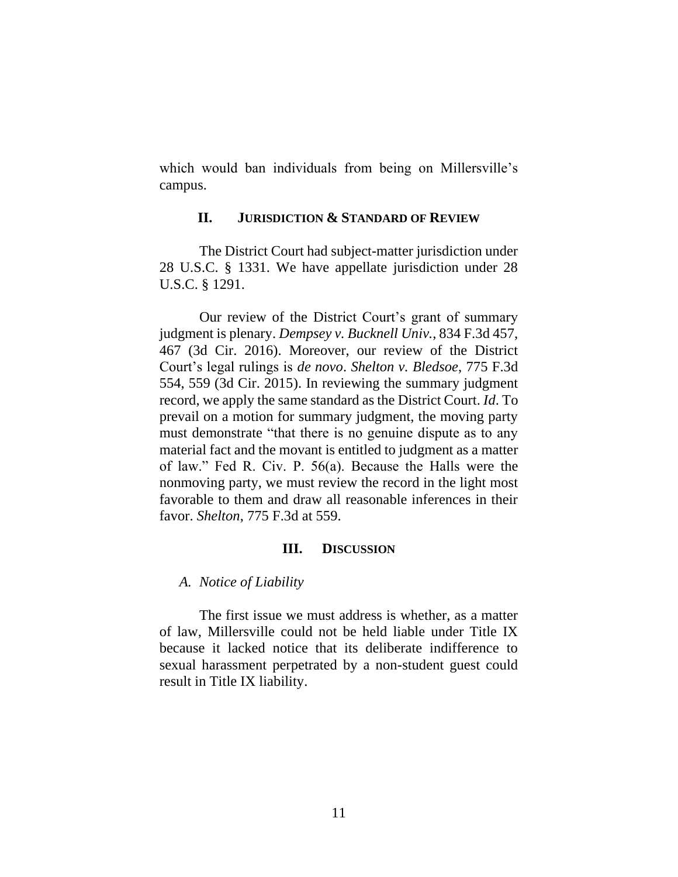which would ban individuals from being on Millersville's campus.

### **II. JURISDICTION & STANDARD OF REVIEW**

The District Court had subject-matter jurisdiction under 28 U.S.C. § 1331. We have appellate jurisdiction under 28 U.S.C. § 1291.

Our review of the District Court's grant of summary judgment is plenary. *Dempsey v. Bucknell Univ.*, 834 F.3d 457, 467 (3d Cir. 2016). Moreover, our review of the District Court's legal rulings is *de novo*. *Shelton v. Bledsoe*, 775 F.3d 554, 559 (3d Cir. 2015). In reviewing the summary judgment record, we apply the same standard as the District Court. *Id*. To prevail on a motion for summary judgment, the moving party must demonstrate "that there is no genuine dispute as to any material fact and the movant is entitled to judgment as a matter of law." Fed R. Civ. P. 56(a). Because the Halls were the nonmoving party, we must review the record in the light most favorable to them and draw all reasonable inferences in their favor. *Shelton*, 775 F.3d at 559.

### **III. DISCUSSION**

#### *A. Notice of Liability*

The first issue we must address is whether, as a matter of law, Millersville could not be held liable under Title IX because it lacked notice that its deliberate indifference to sexual harassment perpetrated by a non-student guest could result in Title IX liability.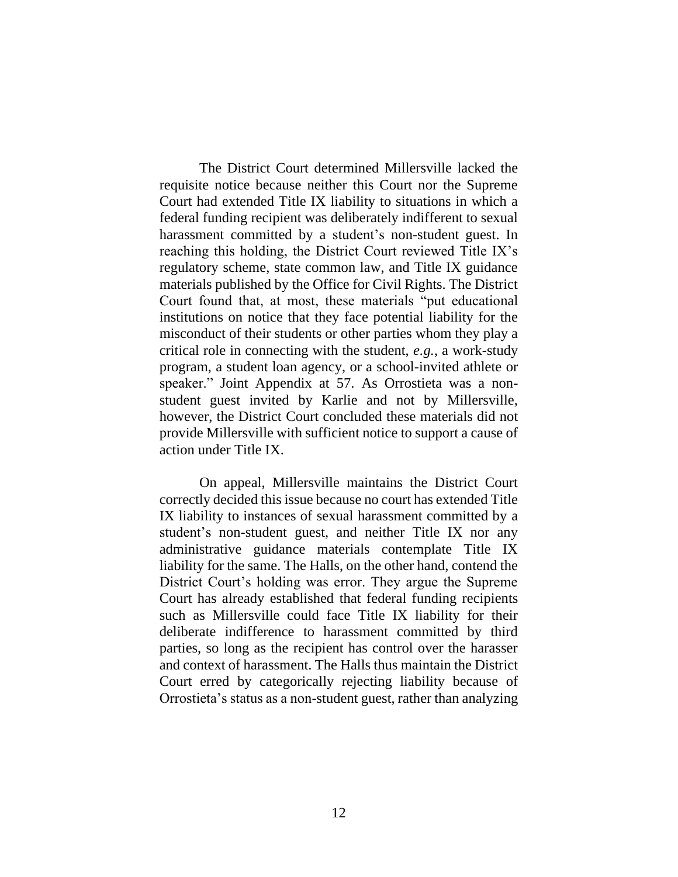The District Court determined Millersville lacked the requisite notice because neither this Court nor the Supreme Court had extended Title IX liability to situations in which a federal funding recipient was deliberately indifferent to sexual harassment committed by a student's non-student guest. In reaching this holding, the District Court reviewed Title IX's regulatory scheme, state common law, and Title IX guidance materials published by the Office for Civil Rights. The District Court found that, at most, these materials "put educational institutions on notice that they face potential liability for the misconduct of their students or other parties whom they play a critical role in connecting with the student, *e.g.*, a work-study program, a student loan agency, or a school-invited athlete or speaker." Joint Appendix at 57. As Orrostieta was a nonstudent guest invited by Karlie and not by Millersville, however, the District Court concluded these materials did not provide Millersville with sufficient notice to support a cause of action under Title IX.

On appeal, Millersville maintains the District Court correctly decided this issue because no court has extended Title IX liability to instances of sexual harassment committed by a student's non-student guest, and neither Title IX nor any administrative guidance materials contemplate Title IX liability for the same. The Halls, on the other hand, contend the District Court's holding was error. They argue the Supreme Court has already established that federal funding recipients such as Millersville could face Title IX liability for their deliberate indifference to harassment committed by third parties, so long as the recipient has control over the harasser and context of harassment. The Halls thus maintain the District Court erred by categorically rejecting liability because of Orrostieta's status as a non-student guest, rather than analyzing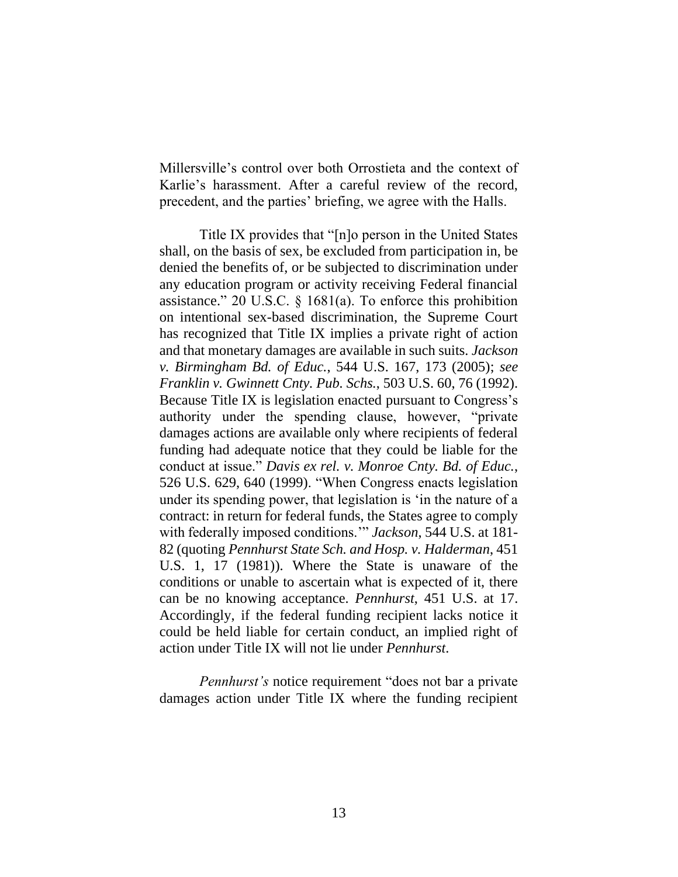Millersville's control over both Orrostieta and the context of Karlie's harassment. After a careful review of the record, precedent, and the parties' briefing, we agree with the Halls.

Title IX provides that "[n]o person in the United States shall, on the basis of sex, be excluded from participation in, be denied the benefits of, or be subjected to discrimination under any education program or activity receiving Federal financial assistance." 20 U.S.C. § 1681(a). To enforce this prohibition on intentional sex-based discrimination, the Supreme Court has recognized that Title IX implies a private right of action and that monetary damages are available in such suits. *Jackson v. Birmingham Bd. of Educ.*, 544 U.S. 167, 173 (2005); *see Franklin v. Gwinnett Cnty. Pub. Schs.*, 503 U.S. 60, 76 (1992). Because Title IX is legislation enacted pursuant to Congress's authority under the spending clause, however, "private damages actions are available only where recipients of federal funding had adequate notice that they could be liable for the conduct at issue." *Davis ex rel. v. Monroe Cnty. Bd. of Educ.*, 526 U.S. 629, 640 (1999). "When Congress enacts legislation under its spending power, that legislation is 'in the nature of a contract: in return for federal funds, the States agree to comply with federally imposed conditions.'" *Jackson*, 544 U.S. at 181- 82 (quoting *Pennhurst State Sch. and Hosp. v. Halderman*, 451 U.S. 1, 17 (1981)). Where the State is unaware of the conditions or unable to ascertain what is expected of it, there can be no knowing acceptance. *Pennhurst*, 451 U.S. at 17. Accordingly, if the federal funding recipient lacks notice it could be held liable for certain conduct, an implied right of action under Title IX will not lie under *Pennhurst*.

*Pennhurst's* notice requirement "does not bar a private damages action under Title IX where the funding recipient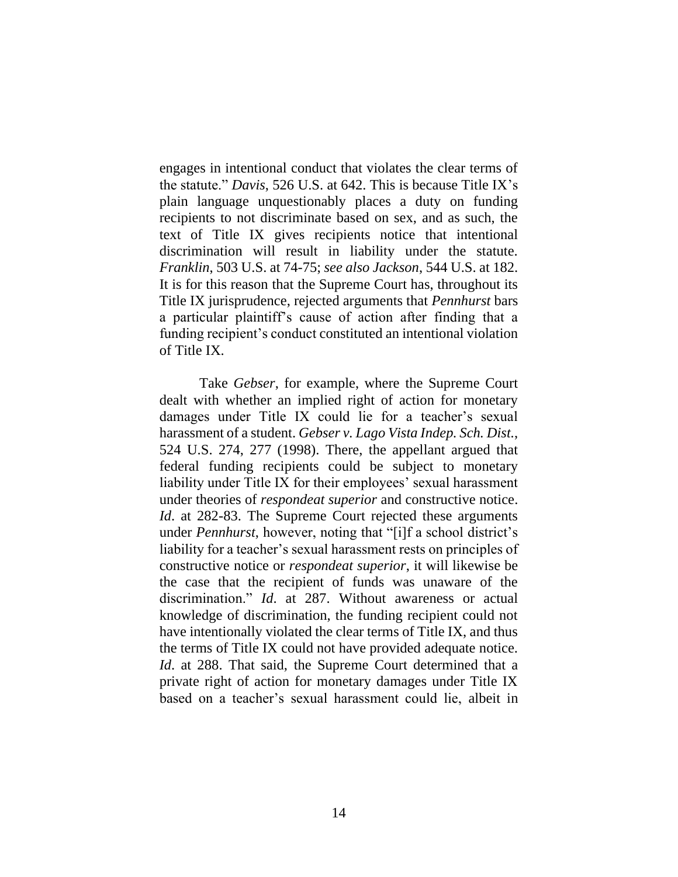engages in intentional conduct that violates the clear terms of the statute." *Davis*, 526 U.S. at 642. This is because Title IX's plain language unquestionably places a duty on funding recipients to not discriminate based on sex, and as such, the text of Title IX gives recipients notice that intentional discrimination will result in liability under the statute. *Franklin*, 503 U.S. at 74-75; *see also Jackson*, 544 U.S. at 182. It is for this reason that the Supreme Court has, throughout its Title IX jurisprudence, rejected arguments that *Pennhurst* bars a particular plaintiff's cause of action after finding that a funding recipient's conduct constituted an intentional violation of Title IX.

Take *Gebser*, for example, where the Supreme Court dealt with whether an implied right of action for monetary damages under Title IX could lie for a teacher's sexual harassment of a student. *Gebser v. Lago Vista Indep. Sch. Dist.*, 524 U.S. 274, 277 (1998). There, the appellant argued that federal funding recipients could be subject to monetary liability under Title IX for their employees' sexual harassment under theories of *respondeat superior* and constructive notice. *Id.* at 282-83. The Supreme Court rejected these arguments under *Pennhurst*, however, noting that "[i]f a school district's liability for a teacher's sexual harassment rests on principles of constructive notice or *respondeat superior*, it will likewise be the case that the recipient of funds was unaware of the discrimination." *Id*. at 287. Without awareness or actual knowledge of discrimination, the funding recipient could not have intentionally violated the clear terms of Title IX, and thus the terms of Title IX could not have provided adequate notice. *Id*. at 288. That said, the Supreme Court determined that a private right of action for monetary damages under Title IX based on a teacher's sexual harassment could lie, albeit in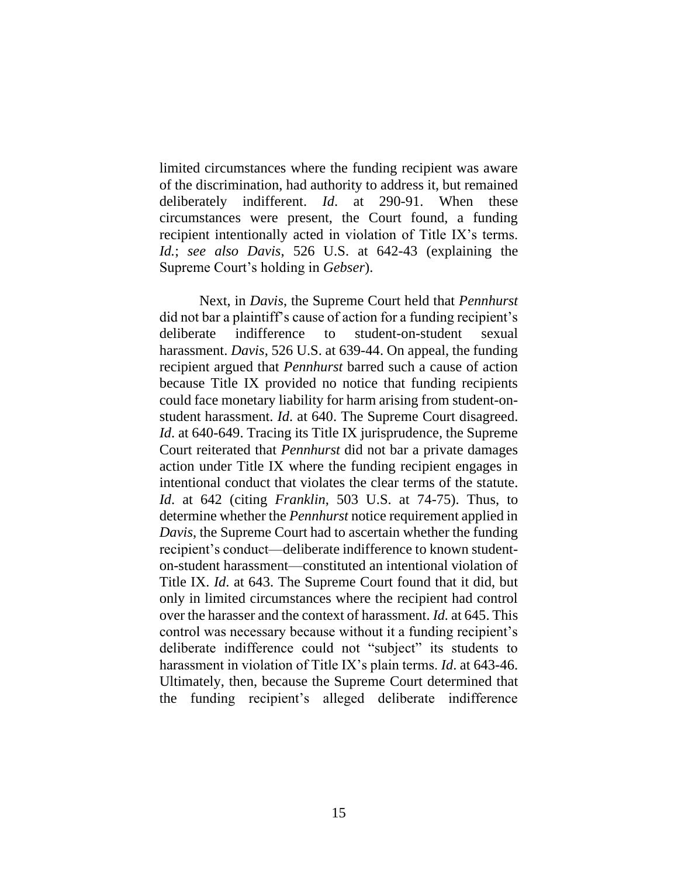limited circumstances where the funding recipient was aware of the discrimination, had authority to address it, but remained deliberately indifferent. *Id*. at 290-91. When these circumstances were present, the Court found, a funding recipient intentionally acted in violation of Title IX's terms. *Id.*; *see also Davis*, 526 U.S. at 642-43 (explaining the Supreme Court's holding in *Gebser*).

Next, in *Davis*, the Supreme Court held that *Pennhurst*  did not bar a plaintiff's cause of action for a funding recipient's deliberate indifference to student-on-student sexual harassment. *Davis*, 526 U.S. at 639-44. On appeal, the funding recipient argued that *Pennhurst* barred such a cause of action because Title IX provided no notice that funding recipients could face monetary liability for harm arising from student-onstudent harassment. *Id*. at 640. The Supreme Court disagreed. *Id.* at 640-649. Tracing its Title IX jurisprudence, the Supreme Court reiterated that *Pennhurst* did not bar a private damages action under Title IX where the funding recipient engages in intentional conduct that violates the clear terms of the statute. *Id*. at 642 (citing *Franklin*, 503 U.S. at 74-75). Thus, to determine whether the *Pennhurst* notice requirement applied in *Davis*, the Supreme Court had to ascertain whether the funding recipient's conduct—deliberate indifference to known studenton-student harassment—constituted an intentional violation of Title IX. *Id*. at 643. The Supreme Court found that it did, but only in limited circumstances where the recipient had control over the harasser and the context of harassment. *Id.* at 645. This control was necessary because without it a funding recipient's deliberate indifference could not "subject" its students to harassment in violation of Title IX's plain terms. *Id*. at 643-46. Ultimately, then, because the Supreme Court determined that the funding recipient's alleged deliberate indifference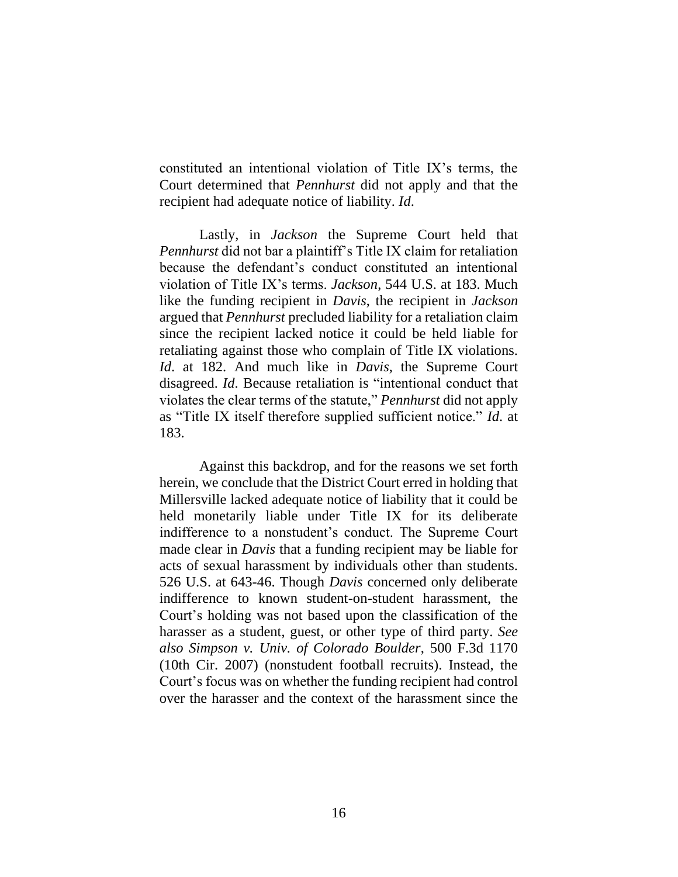constituted an intentional violation of Title IX's terms, the Court determined that *Pennhurst* did not apply and that the recipient had adequate notice of liability. *Id*.

Lastly, in *Jackson* the Supreme Court held that *Pennhurst* did not bar a plaintiff's Title IX claim for retaliation because the defendant's conduct constituted an intentional violation of Title IX's terms. *Jackson*, 544 U.S. at 183. Much like the funding recipient in *Davis*, the recipient in *Jackson*  argued that *Pennhurst* precluded liability for a retaliation claim since the recipient lacked notice it could be held liable for retaliating against those who complain of Title IX violations. *Id*. at 182. And much like in *Davis*, the Supreme Court disagreed. *Id*. Because retaliation is "intentional conduct that violates the clear terms of the statute," *Pennhurst* did not apply as "Title IX itself therefore supplied sufficient notice." *Id*. at 183.

Against this backdrop, and for the reasons we set forth herein, we conclude that the District Court erred in holding that Millersville lacked adequate notice of liability that it could be held monetarily liable under Title IX for its deliberate indifference to a nonstudent's conduct. The Supreme Court made clear in *Davis* that a funding recipient may be liable for acts of sexual harassment by individuals other than students. 526 U.S. at 643-46. Though *Davis* concerned only deliberate indifference to known student-on-student harassment, the Court's holding was not based upon the classification of the harasser as a student, guest, or other type of third party. *See also Simpson v. Univ. of Colorado Boulder*, 500 F.3d 1170 (10th Cir. 2007) (nonstudent football recruits). Instead, the Court's focus was on whether the funding recipient had control over the harasser and the context of the harassment since the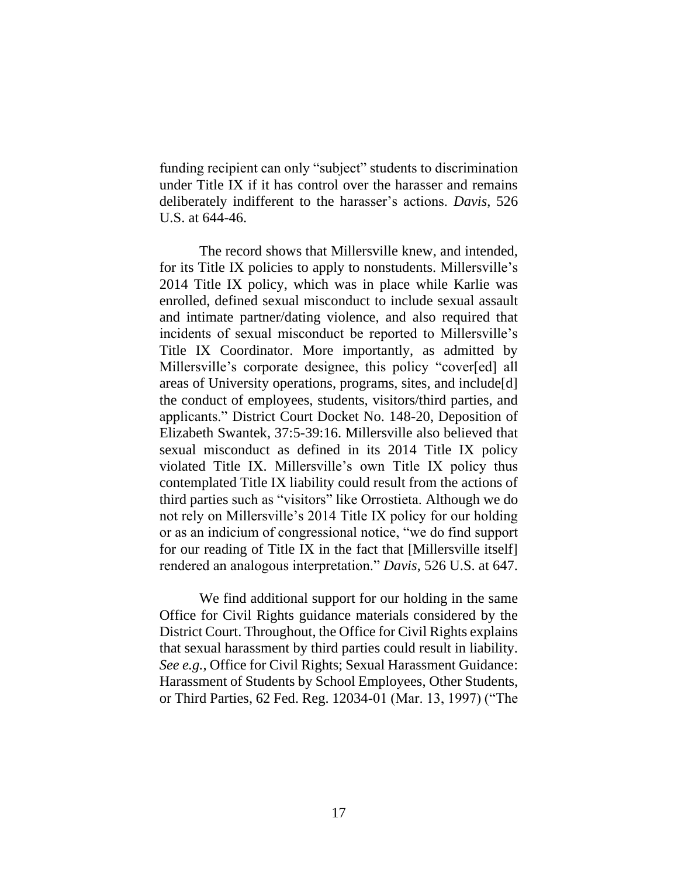funding recipient can only "subject" students to discrimination under Title IX if it has control over the harasser and remains deliberately indifferent to the harasser's actions. *Davis*, 526 U.S. at 644-46.

The record shows that Millersville knew, and intended, for its Title IX policies to apply to nonstudents. Millersville's 2014 Title IX policy, which was in place while Karlie was enrolled, defined sexual misconduct to include sexual assault and intimate partner/dating violence, and also required that incidents of sexual misconduct be reported to Millersville's Title IX Coordinator. More importantly, as admitted by Millersville's corporate designee, this policy "cover[ed] all areas of University operations, programs, sites, and include[d] the conduct of employees, students, visitors/third parties, and applicants." District Court Docket No. 148-20, Deposition of Elizabeth Swantek, 37:5-39:16. Millersville also believed that sexual misconduct as defined in its 2014 Title IX policy violated Title IX. Millersville's own Title IX policy thus contemplated Title IX liability could result from the actions of third parties such as "visitors" like Orrostieta. Although we do not rely on Millersville's 2014 Title IX policy for our holding or as an indicium of congressional notice, "we do find support for our reading of Title IX in the fact that [Millersville itself] rendered an analogous interpretation." *Davis*, 526 U.S. at 647.

We find additional support for our holding in the same Office for Civil Rights guidance materials considered by the District Court. Throughout, the Office for Civil Rights explains that sexual harassment by third parties could result in liability. *See e.g.*, Office for Civil Rights; Sexual Harassment Guidance: Harassment of Students by School Employees, Other Students, or Third Parties, 62 Fed. Reg. 12034-01 (Mar. 13, 1997) ("The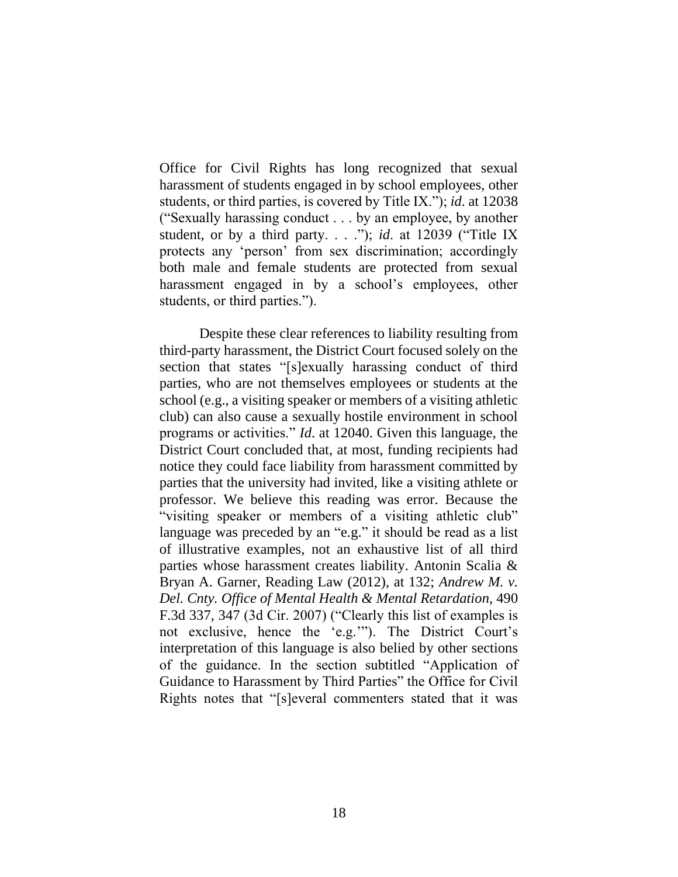Office for Civil Rights has long recognized that sexual harassment of students engaged in by school employees, other students, or third parties, is covered by Title IX."); *id*. at 12038 ("Sexually harassing conduct . . . by an employee, by another student, or by a third party. . . ."); *id*. at 12039 ("Title IX protects any 'person' from sex discrimination; accordingly both male and female students are protected from sexual harassment engaged in by a school's employees, other students, or third parties.").

Despite these clear references to liability resulting from third-party harassment, the District Court focused solely on the section that states "[s]exually harassing conduct of third parties, who are not themselves employees or students at the school (e.g., a visiting speaker or members of a visiting athletic club) can also cause a sexually hostile environment in school programs or activities." *Id*. at 12040. Given this language, the District Court concluded that, at most, funding recipients had notice they could face liability from harassment committed by parties that the university had invited, like a visiting athlete or professor. We believe this reading was error. Because the "visiting speaker or members of a visiting athletic club" language was preceded by an "e.g." it should be read as a list of illustrative examples, not an exhaustive list of all third parties whose harassment creates liability. Antonin Scalia & Bryan A. Garner, Reading Law (2012), at 132; *Andrew M. v. Del. Cnty. Office of Mental Health & Mental Retardation*, 490 F.3d 337, 347 (3d Cir. 2007) ("Clearly this list of examples is not exclusive, hence the 'e.g.'"). The District Court's interpretation of this language is also belied by other sections of the guidance. In the section subtitled "Application of Guidance to Harassment by Third Parties" the Office for Civil Rights notes that "[s]everal commenters stated that it was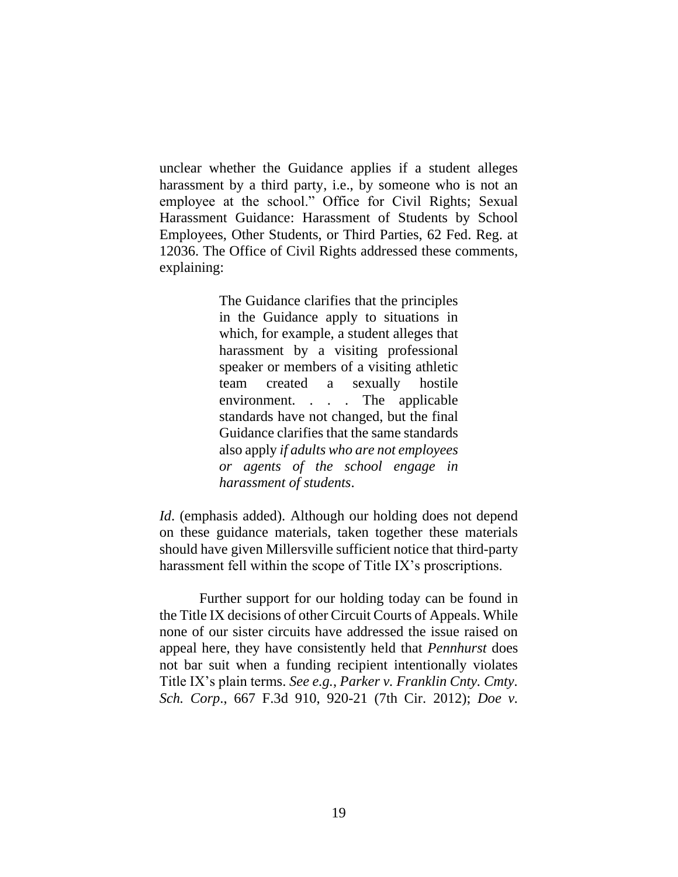unclear whether the Guidance applies if a student alleges harassment by a third party, i.e., by someone who is not an employee at the school." Office for Civil Rights; Sexual Harassment Guidance: Harassment of Students by School Employees, Other Students, or Third Parties, 62 Fed. Reg. at 12036. The Office of Civil Rights addressed these comments, explaining:

> The Guidance clarifies that the principles in the Guidance apply to situations in which, for example, a student alleges that harassment by a visiting professional speaker or members of a visiting athletic team created a sexually hostile environment. . . . The applicable standards have not changed, but the final Guidance clarifies that the same standards also apply *if adults who are not employees or agents of the school engage in harassment of students*.

*Id*. (emphasis added). Although our holding does not depend on these guidance materials, taken together these materials should have given Millersville sufficient notice that third-party harassment fell within the scope of Title IX's proscriptions.

Further support for our holding today can be found in the Title IX decisions of other Circuit Courts of Appeals. While none of our sister circuits have addressed the issue raised on appeal here, they have consistently held that *Pennhurst* does not bar suit when a funding recipient intentionally violates Title IX's plain terms. *See e.g.*, *Parker v. Franklin Cnty. Cmty. Sch. Corp*., 667 F.3d 910, 920-21 (7th Cir. 2012); *Doe v.*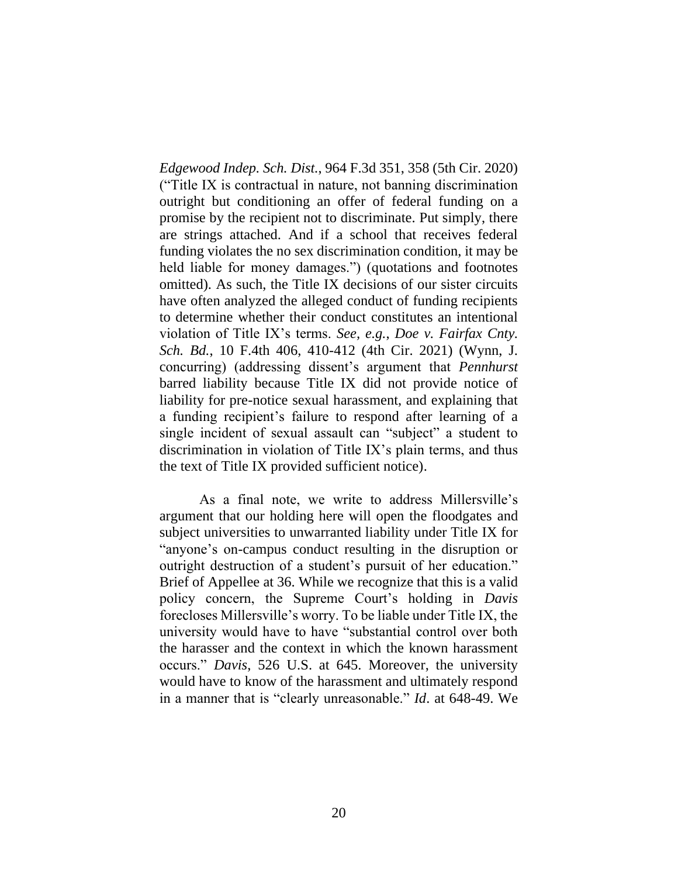*Edgewood Indep. Sch. Dist.*, 964 F.3d 351, 358 (5th Cir. 2020) ("Title IX is contractual in nature, not banning discrimination outright but conditioning an offer of federal funding on a promise by the recipient not to discriminate. Put simply, there are strings attached. And if a school that receives federal funding violates the no sex discrimination condition, it may be held liable for money damages.") (quotations and footnotes omitted). As such, the Title IX decisions of our sister circuits have often analyzed the alleged conduct of funding recipients to determine whether their conduct constitutes an intentional violation of Title IX's terms. *See, e.g.*, *Doe v. Fairfax Cnty. Sch. Bd.*, 10 F.4th 406, 410-412 (4th Cir. 2021) (Wynn, J. concurring) (addressing dissent's argument that *Pennhurst*  barred liability because Title IX did not provide notice of liability for pre-notice sexual harassment, and explaining that a funding recipient's failure to respond after learning of a single incident of sexual assault can "subject" a student to discrimination in violation of Title IX's plain terms, and thus the text of Title IX provided sufficient notice).

As a final note, we write to address Millersville's argument that our holding here will open the floodgates and subject universities to unwarranted liability under Title IX for "anyone's on-campus conduct resulting in the disruption or outright destruction of a student's pursuit of her education." Brief of Appellee at 36. While we recognize that this is a valid policy concern, the Supreme Court's holding in *Davis*  forecloses Millersville's worry. To be liable under Title IX, the university would have to have "substantial control over both the harasser and the context in which the known harassment occurs." *Davis*, 526 U.S. at 645. Moreover, the university would have to know of the harassment and ultimately respond in a manner that is "clearly unreasonable." *Id*. at 648-49. We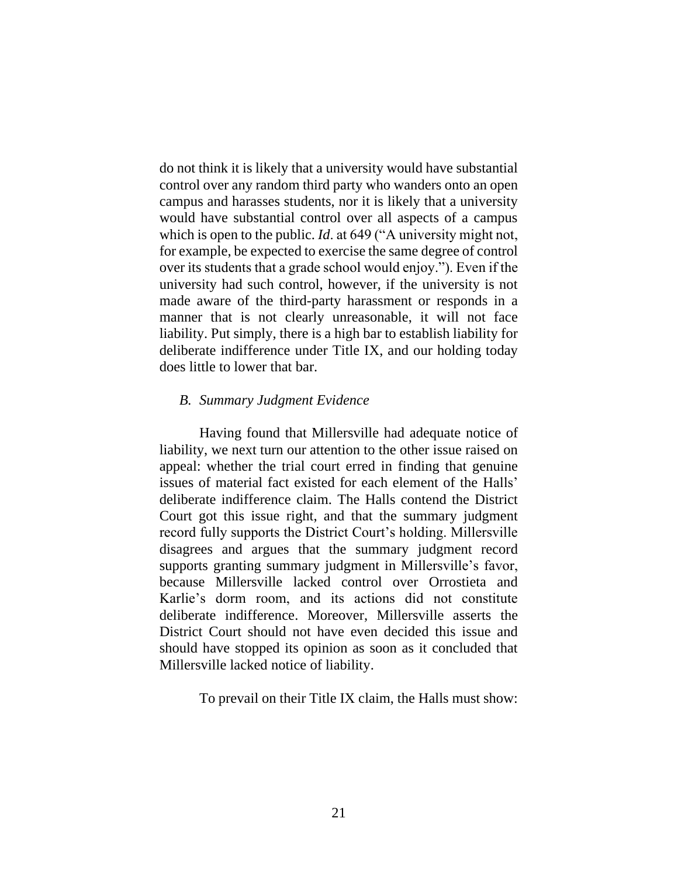do not think it is likely that a university would have substantial control over any random third party who wanders onto an open campus and harasses students, nor it is likely that a university would have substantial control over all aspects of a campus which is open to the public. *Id*. at 649 ("A university might not, for example, be expected to exercise the same degree of control over its students that a grade school would enjoy."). Even if the university had such control, however, if the university is not made aware of the third-party harassment or responds in a manner that is not clearly unreasonable, it will not face liability. Put simply, there is a high bar to establish liability for deliberate indifference under Title IX, and our holding today does little to lower that bar.

### *B. Summary Judgment Evidence*

Having found that Millersville had adequate notice of liability, we next turn our attention to the other issue raised on appeal: whether the trial court erred in finding that genuine issues of material fact existed for each element of the Halls' deliberate indifference claim. The Halls contend the District Court got this issue right, and that the summary judgment record fully supports the District Court's holding. Millersville disagrees and argues that the summary judgment record supports granting summary judgment in Millersville's favor, because Millersville lacked control over Orrostieta and Karlie's dorm room, and its actions did not constitute deliberate indifference. Moreover, Millersville asserts the District Court should not have even decided this issue and should have stopped its opinion as soon as it concluded that Millersville lacked notice of liability.

To prevail on their Title IX claim, the Halls must show: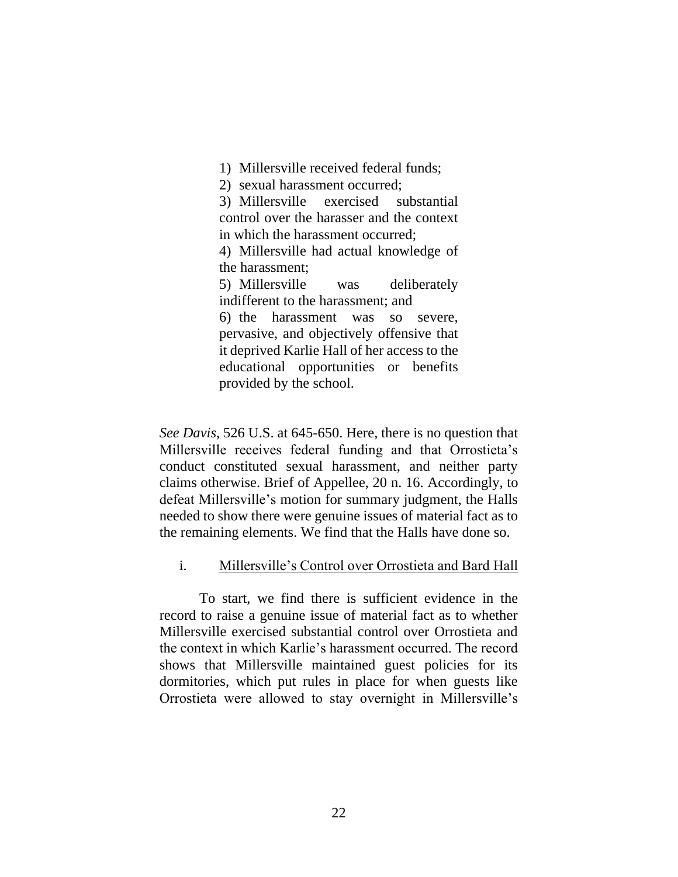1) Millersville received federal funds;

2) sexual harassment occurred;

3) Millersville exercised substantial control over the harasser and the context in which the harassment occurred;

4) Millersville had actual knowledge of the harassment;

5) Millersville was deliberately indifferent to the harassment; and

6) the harassment was so severe, pervasive, and objectively offensive that it deprived Karlie Hall of her access to the educational opportunities or benefits provided by the school.

*See Davis*, 526 U.S. at 645-650. Here, there is no question that Millersville receives federal funding and that Orrostieta's conduct constituted sexual harassment, and neither party claims otherwise. Brief of Appellee, 20 n. 16. Accordingly, to defeat Millersville's motion for summary judgment, the Halls needed to show there were genuine issues of material fact as to the remaining elements. We find that the Halls have done so.

## i. Millersville's Control over Orrostieta and Bard Hall

To start, we find there is sufficient evidence in the record to raise a genuine issue of material fact as to whether Millersville exercised substantial control over Orrostieta and the context in which Karlie's harassment occurred. The record shows that Millersville maintained guest policies for its dormitories, which put rules in place for when guests like Orrostieta were allowed to stay overnight in Millersville's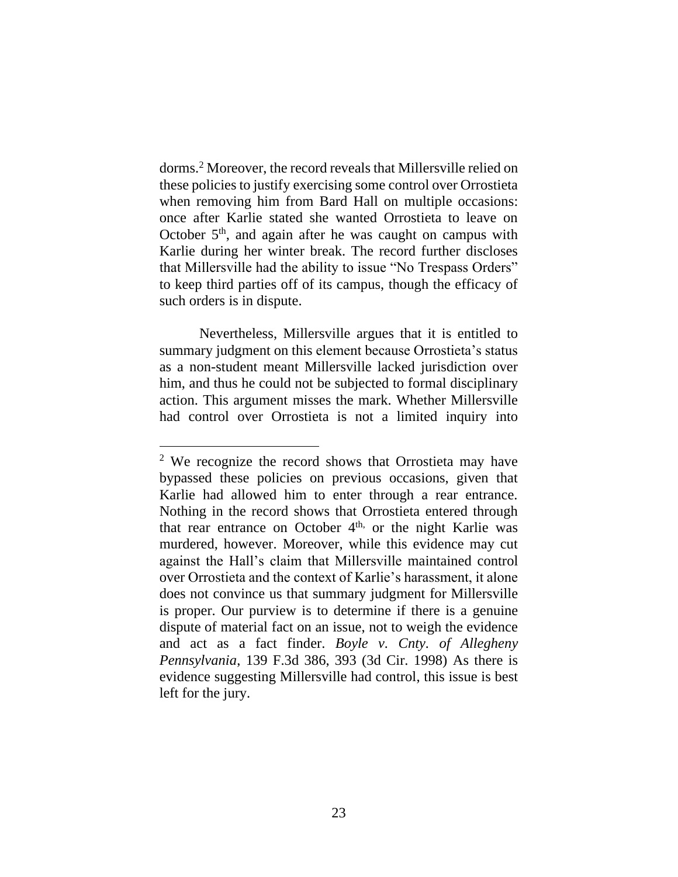dorms.<sup>2</sup> Moreover, the record reveals that Millersville relied on these policies to justify exercising some control over Orrostieta when removing him from Bard Hall on multiple occasions: once after Karlie stated she wanted Orrostieta to leave on October  $5<sup>th</sup>$ , and again after he was caught on campus with Karlie during her winter break. The record further discloses that Millersville had the ability to issue "No Trespass Orders" to keep third parties off of its campus, though the efficacy of such orders is in dispute.

Nevertheless, Millersville argues that it is entitled to summary judgment on this element because Orrostieta's status as a non-student meant Millersville lacked jurisdiction over him, and thus he could not be subjected to formal disciplinary action. This argument misses the mark. Whether Millersville had control over Orrostieta is not a limited inquiry into

<sup>2</sup> We recognize the record shows that Orrostieta may have bypassed these policies on previous occasions, given that Karlie had allowed him to enter through a rear entrance. Nothing in the record shows that Orrostieta entered through that rear entrance on October  $4<sup>th</sup>$ , or the night Karlie was murdered, however. Moreover, while this evidence may cut against the Hall's claim that Millersville maintained control over Orrostieta and the context of Karlie's harassment, it alone does not convince us that summary judgment for Millersville is proper. Our purview is to determine if there is a genuine dispute of material fact on an issue, not to weigh the evidence and act as a fact finder. *Boyle v. Cnty. of Allegheny Pennsylvania*, 139 F.3d 386, 393 (3d Cir. 1998) As there is evidence suggesting Millersville had control, this issue is best left for the jury.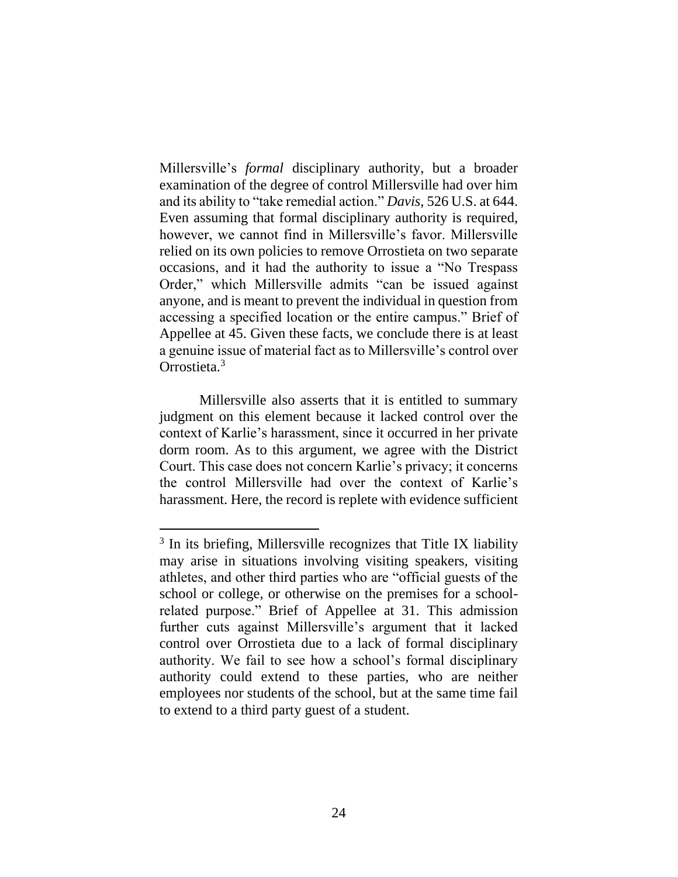Millersville's *formal* disciplinary authority, but a broader examination of the degree of control Millersville had over him and its ability to "take remedial action." *Davis*, 526 U.S. at 644. Even assuming that formal disciplinary authority is required, however, we cannot find in Millersville's favor. Millersville relied on its own policies to remove Orrostieta on two separate occasions, and it had the authority to issue a "No Trespass Order," which Millersville admits "can be issued against anyone, and is meant to prevent the individual in question from accessing a specified location or the entire campus." Brief of Appellee at 45. Given these facts, we conclude there is at least a genuine issue of material fact as to Millersville's control over Orrostieta.<sup>3</sup>

Millersville also asserts that it is entitled to summary judgment on this element because it lacked control over the context of Karlie's harassment, since it occurred in her private dorm room. As to this argument, we agree with the District Court. This case does not concern Karlie's privacy; it concerns the control Millersville had over the context of Karlie's harassment. Here, the record is replete with evidence sufficient

<sup>&</sup>lt;sup>3</sup> In its briefing, Millersville recognizes that Title IX liability may arise in situations involving visiting speakers, visiting athletes, and other third parties who are "official guests of the school or college, or otherwise on the premises for a schoolrelated purpose." Brief of Appellee at 31. This admission further cuts against Millersville's argument that it lacked control over Orrostieta due to a lack of formal disciplinary authority. We fail to see how a school's formal disciplinary authority could extend to these parties, who are neither employees nor students of the school, but at the same time fail to extend to a third party guest of a student.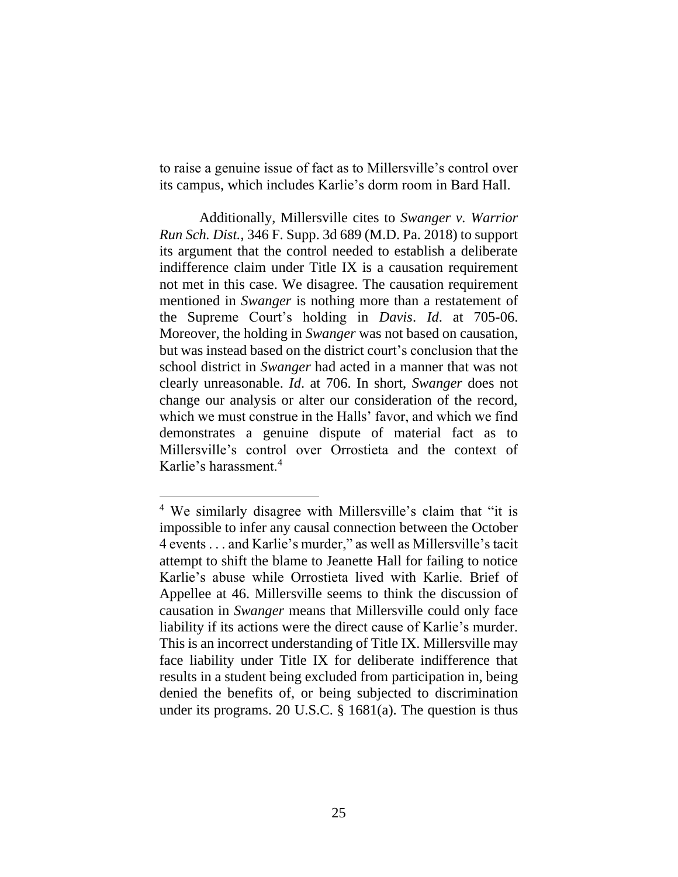to raise a genuine issue of fact as to Millersville's control over its campus, which includes Karlie's dorm room in Bard Hall.

Additionally, Millersville cites to *Swanger v. Warrior Run Sch. Dist.*, 346 F. Supp. 3d 689 (M.D. Pa. 2018) to support its argument that the control needed to establish a deliberate indifference claim under Title IX is a causation requirement not met in this case. We disagree. The causation requirement mentioned in *Swanger* is nothing more than a restatement of the Supreme Court's holding in *Davis*. *Id*. at 705-06. Moreover, the holding in *Swanger* was not based on causation, but was instead based on the district court's conclusion that the school district in *Swanger* had acted in a manner that was not clearly unreasonable. *Id*. at 706. In short, *Swanger* does not change our analysis or alter our consideration of the record, which we must construe in the Halls' favor, and which we find demonstrates a genuine dispute of material fact as to Millersville's control over Orrostieta and the context of Karlie's harassment.<sup>4</sup>

<sup>4</sup> We similarly disagree with Millersville's claim that "it is impossible to infer any causal connection between the October 4 events . . . and Karlie's murder," as well as Millersville's tacit attempt to shift the blame to Jeanette Hall for failing to notice Karlie's abuse while Orrostieta lived with Karlie. Brief of Appellee at 46. Millersville seems to think the discussion of causation in *Swanger* means that Millersville could only face liability if its actions were the direct cause of Karlie's murder. This is an incorrect understanding of Title IX. Millersville may face liability under Title IX for deliberate indifference that results in a student being excluded from participation in, being denied the benefits of, or being subjected to discrimination under its programs. 20 U.S.C. § 1681(a). The question is thus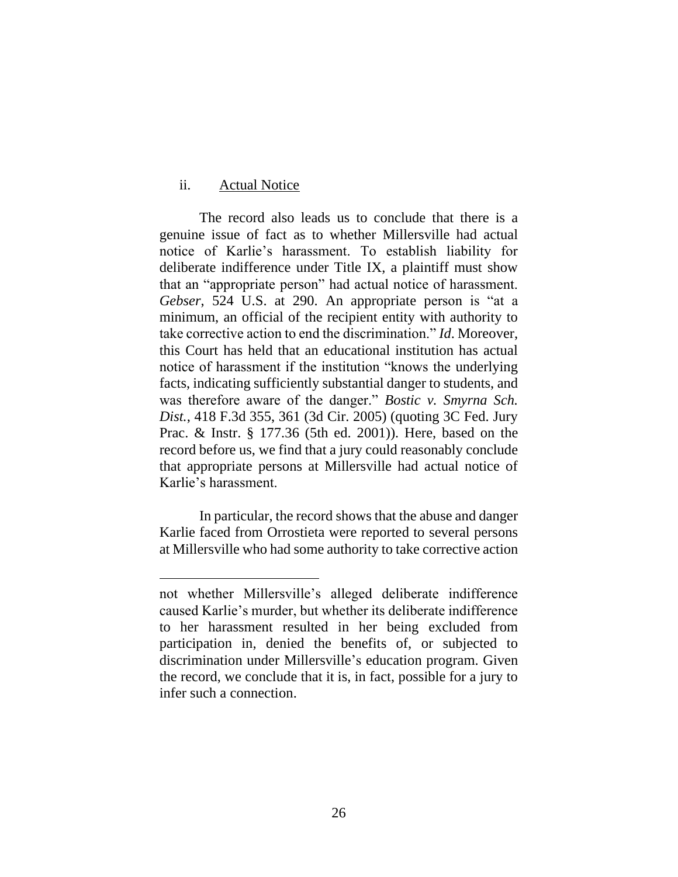### ii. Actual Notice

The record also leads us to conclude that there is a genuine issue of fact as to whether Millersville had actual notice of Karlie's harassment. To establish liability for deliberate indifference under Title IX, a plaintiff must show that an "appropriate person" had actual notice of harassment. *Gebser*, 524 U.S. at 290. An appropriate person is "at a minimum, an official of the recipient entity with authority to take corrective action to end the discrimination." *Id*. Moreover, this Court has held that an educational institution has actual notice of harassment if the institution "knows the underlying facts, indicating sufficiently substantial danger to students, and was therefore aware of the danger." *Bostic v. Smyrna Sch. Dist.*, 418 F.3d 355, 361 (3d Cir. 2005) (quoting 3C Fed. Jury Prac. & Instr. § 177.36 (5th ed. 2001)). Here, based on the record before us, we find that a jury could reasonably conclude that appropriate persons at Millersville had actual notice of Karlie's harassment.

In particular, the record shows that the abuse and danger Karlie faced from Orrostieta were reported to several persons at Millersville who had some authority to take corrective action

not whether Millersville's alleged deliberate indifference caused Karlie's murder, but whether its deliberate indifference to her harassment resulted in her being excluded from participation in, denied the benefits of, or subjected to discrimination under Millersville's education program. Given the record, we conclude that it is, in fact, possible for a jury to infer such a connection.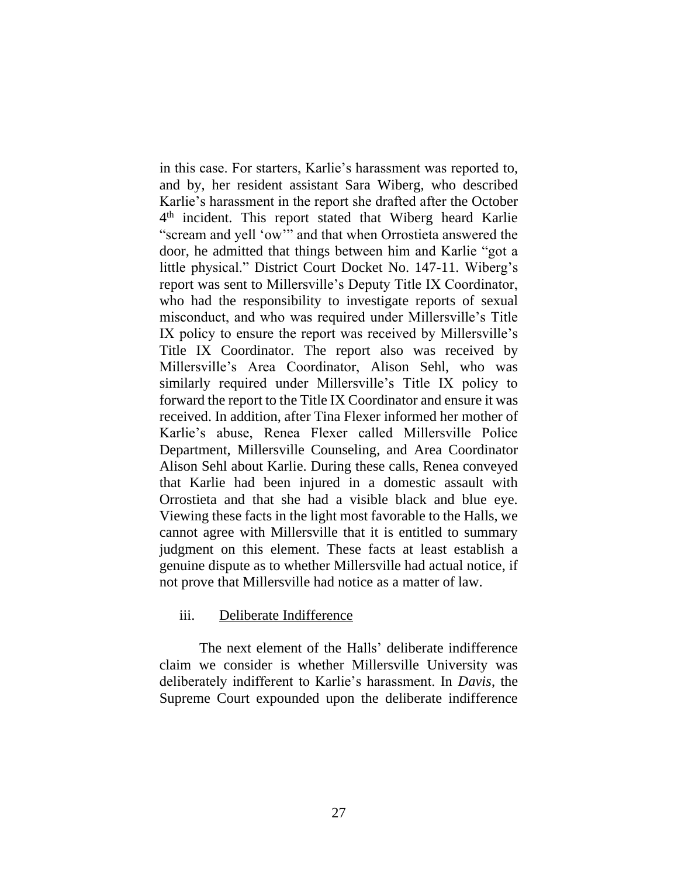in this case. For starters, Karlie's harassment was reported to, and by, her resident assistant Sara Wiberg, who described Karlie's harassment in the report she drafted after the October 4<sup>th</sup> incident. This report stated that Wiberg heard Karlie "scream and yell 'ow'" and that when Orrostieta answered the door, he admitted that things between him and Karlie "got a little physical." District Court Docket No. 147-11. Wiberg's report was sent to Millersville's Deputy Title IX Coordinator, who had the responsibility to investigate reports of sexual misconduct, and who was required under Millersville's Title IX policy to ensure the report was received by Millersville's Title IX Coordinator. The report also was received by Millersville's Area Coordinator, Alison Sehl, who was similarly required under Millersville's Title IX policy to forward the report to the Title IX Coordinator and ensure it was received. In addition, after Tina Flexer informed her mother of Karlie's abuse, Renea Flexer called Millersville Police Department, Millersville Counseling, and Area Coordinator Alison Sehl about Karlie. During these calls, Renea conveyed that Karlie had been injured in a domestic assault with Orrostieta and that she had a visible black and blue eye. Viewing these facts in the light most favorable to the Halls, we cannot agree with Millersville that it is entitled to summary judgment on this element. These facts at least establish a genuine dispute as to whether Millersville had actual notice, if not prove that Millersville had notice as a matter of law.

### iii. Deliberate Indifference

The next element of the Halls' deliberate indifference claim we consider is whether Millersville University was deliberately indifferent to Karlie's harassment. In *Davis*, the Supreme Court expounded upon the deliberate indifference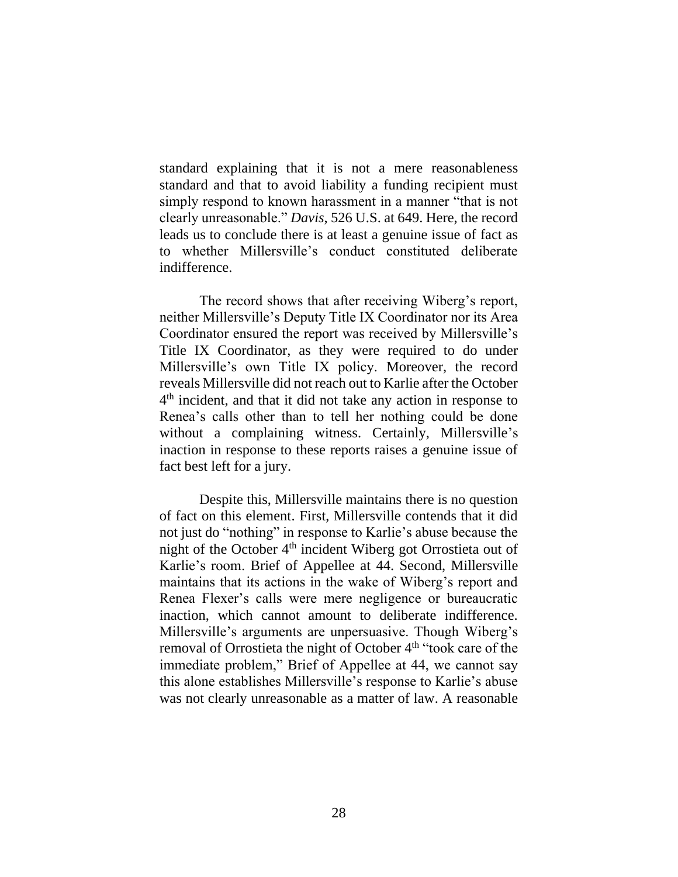standard explaining that it is not a mere reasonableness standard and that to avoid liability a funding recipient must simply respond to known harassment in a manner "that is not clearly unreasonable." *Davis*, 526 U.S. at 649. Here, the record leads us to conclude there is at least a genuine issue of fact as to whether Millersville's conduct constituted deliberate indifference.

The record shows that after receiving Wiberg's report, neither Millersville's Deputy Title IX Coordinator nor its Area Coordinator ensured the report was received by Millersville's Title IX Coordinator, as they were required to do under Millersville's own Title IX policy. Moreover, the record reveals Millersville did not reach out to Karlie after the October 4<sup>th</sup> incident, and that it did not take any action in response to Renea's calls other than to tell her nothing could be done without a complaining witness. Certainly, Millersville's inaction in response to these reports raises a genuine issue of fact best left for a jury.

Despite this, Millersville maintains there is no question of fact on this element. First, Millersville contends that it did not just do "nothing" in response to Karlie's abuse because the night of the October  $4<sup>th</sup>$  incident Wiberg got Orrostieta out of Karlie's room. Brief of Appellee at 44. Second, Millersville maintains that its actions in the wake of Wiberg's report and Renea Flexer's calls were mere negligence or bureaucratic inaction, which cannot amount to deliberate indifference. Millersville's arguments are unpersuasive. Though Wiberg's removal of Orrostieta the night of October 4<sup>th</sup> "took care of the immediate problem," Brief of Appellee at 44, we cannot say this alone establishes Millersville's response to Karlie's abuse was not clearly unreasonable as a matter of law. A reasonable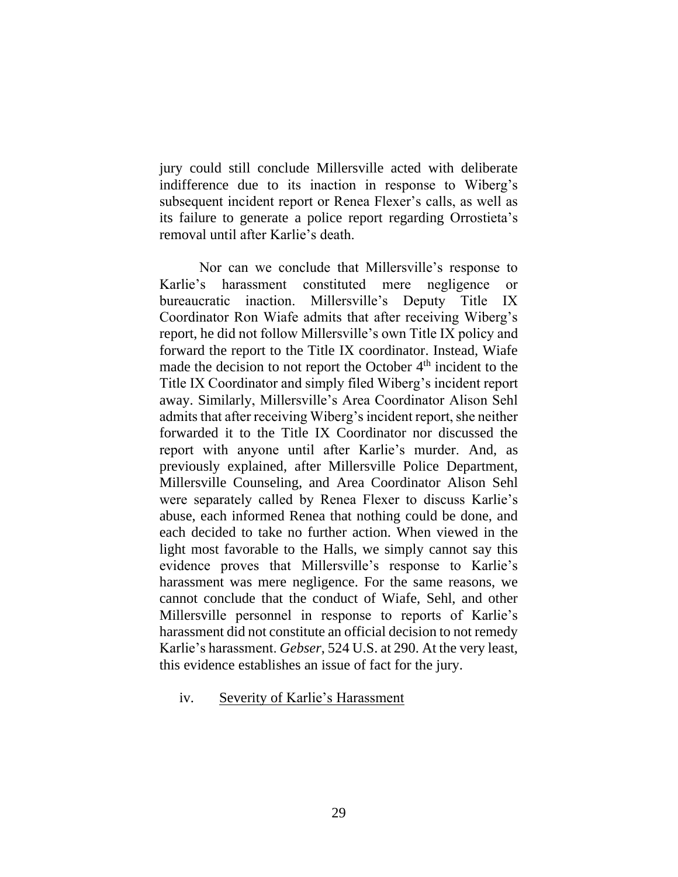jury could still conclude Millersville acted with deliberate indifference due to its inaction in response to Wiberg's subsequent incident report or Renea Flexer's calls, as well as its failure to generate a police report regarding Orrostieta's removal until after Karlie's death.

Nor can we conclude that Millersville's response to Karlie's harassment constituted mere negligence or bureaucratic inaction. Millersville's Deputy Title IX Coordinator Ron Wiafe admits that after receiving Wiberg's report, he did not follow Millersville's own Title IX policy and forward the report to the Title IX coordinator. Instead, Wiafe made the decision to not report the October 4<sup>th</sup> incident to the Title IX Coordinator and simply filed Wiberg's incident report away. Similarly, Millersville's Area Coordinator Alison Sehl admits that after receiving Wiberg's incident report, she neither forwarded it to the Title IX Coordinator nor discussed the report with anyone until after Karlie's murder. And, as previously explained, after Millersville Police Department, Millersville Counseling, and Area Coordinator Alison Sehl were separately called by Renea Flexer to discuss Karlie's abuse, each informed Renea that nothing could be done, and each decided to take no further action. When viewed in the light most favorable to the Halls, we simply cannot say this evidence proves that Millersville's response to Karlie's harassment was mere negligence. For the same reasons, we cannot conclude that the conduct of Wiafe, Sehl, and other Millersville personnel in response to reports of Karlie's harassment did not constitute an official decision to not remedy Karlie's harassment. *Gebser*, 524 U.S. at 290. At the very least, this evidence establishes an issue of fact for the jury.

iv. Severity of Karlie's Harassment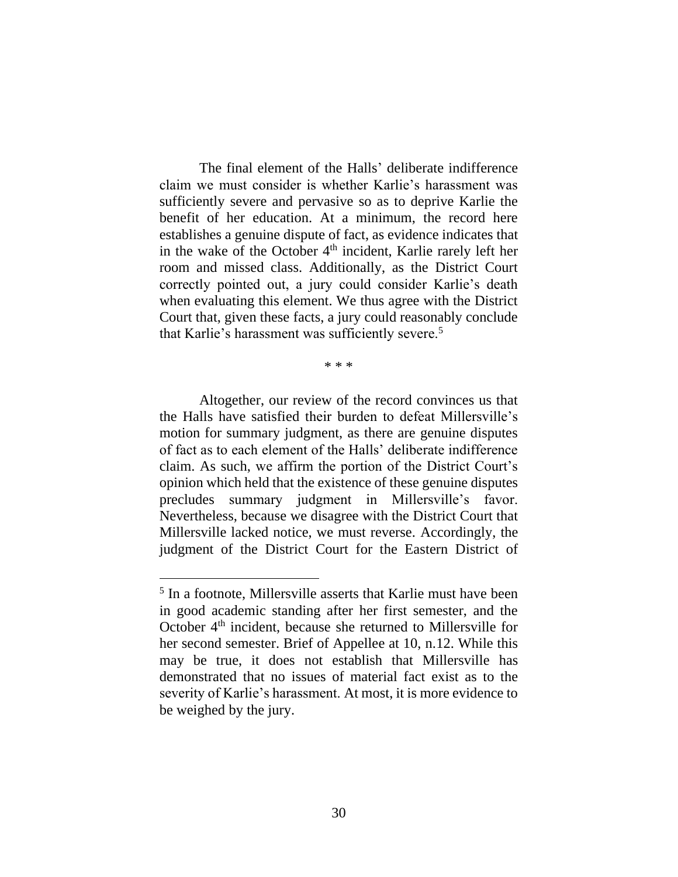The final element of the Halls' deliberate indifference claim we must consider is whether Karlie's harassment was sufficiently severe and pervasive so as to deprive Karlie the benefit of her education. At a minimum, the record here establishes a genuine dispute of fact, as evidence indicates that in the wake of the October  $4<sup>th</sup>$  incident, Karlie rarely left her room and missed class. Additionally, as the District Court correctly pointed out, a jury could consider Karlie's death when evaluating this element. We thus agree with the District Court that, given these facts, a jury could reasonably conclude that Karlie's harassment was sufficiently severe.<sup>5</sup>

\* \* \*

Altogether, our review of the record convinces us that the Halls have satisfied their burden to defeat Millersville's motion for summary judgment, as there are genuine disputes of fact as to each element of the Halls' deliberate indifference claim. As such, we affirm the portion of the District Court's opinion which held that the existence of these genuine disputes precludes summary judgment in Millersville's favor. Nevertheless, because we disagree with the District Court that Millersville lacked notice, we must reverse. Accordingly, the judgment of the District Court for the Eastern District of

<sup>&</sup>lt;sup>5</sup> In a footnote, Millersville asserts that Karlie must have been in good academic standing after her first semester, and the October 4th incident, because she returned to Millersville for her second semester. Brief of Appellee at 10, n.12. While this may be true, it does not establish that Millersville has demonstrated that no issues of material fact exist as to the severity of Karlie's harassment. At most, it is more evidence to be weighed by the jury.